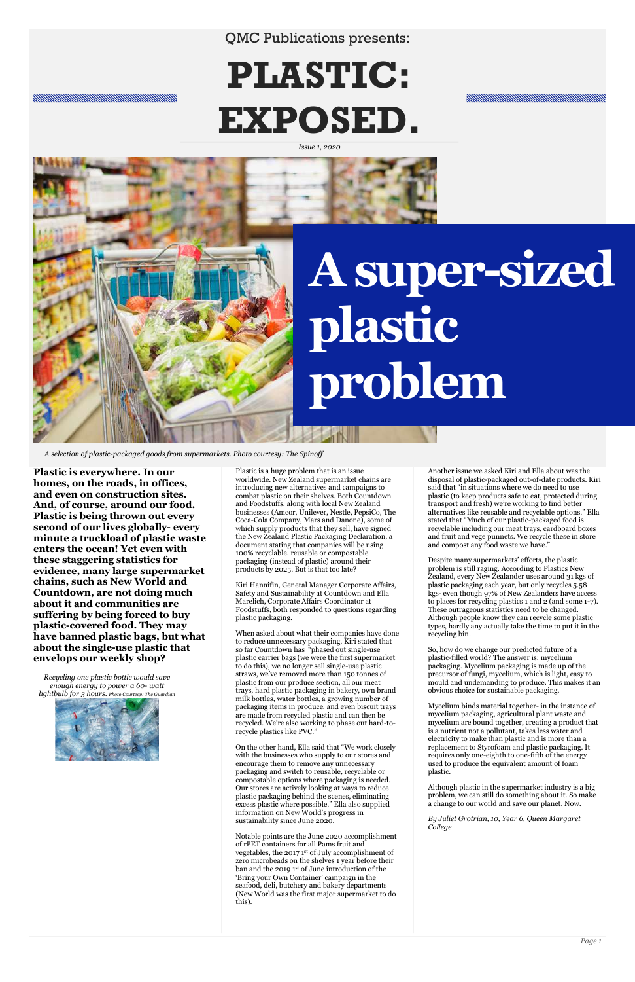QMC Publications presents:

## PLASTIC: EXPOSED.

Issue 1, 2020



MANAMAN MANAMAN MANAMAN MANAMAN MANAMAN MANAMAN MANAMAN MANAMAN MANAMAN MANAMAN MANAMAN MANAMAN MANAMAN MANAMA

Plastic is everywhere. In our homes, on the roads, in offices, and even on construction sites. And, of course, around our food. Plastic is being thrown out every second of our lives globally- every minute a truckload of plastic waste enters the ocean! Yet even with these staggering statistics for evidence, many large supermarket chains, such as New World and Countdown, are not doing much about it and communities are suffering by being forced to buy plastic-covered food. They may have banned plastic bags, but what about the single-use plastic that envelops our weekly shop?

Plastic is a huge problem that is an issue worldwide. New Zealand supermarket chains are introducing new alternatives and campaigns to combat plastic on their shelves. Both Countdown and Foodstuffs, along with local New Zealand businesses (Amcor, Unilever, Nestle, PepsiCo, The Coca-Cola Company, Mars and Danone), some of which supply products that they sell, have signed the New Zealand Plastic Packaging Declaration, a document stating that companies will be using 100% recyclable, reusable or compostable packaging (instead of plastic) around their products by 2025. But is that too late?

Kiri Hannifin, General Manager Corporate Affairs, Safety and Sustainability at Countdown and Ella Marelich, Corporate Affairs Coordinator at Foodstuffs, both responded to questions regarding plastic packaging.

When asked about what their companies have done to reduce unnecessary packaging, Kiri stated that so far Countdown has "phased out single-use plastic carrier bags (we were the first supermarket to do this), we no longer sell single-use plastic straws, we've removed more than 150 tonnes of plastic from our produce section, all our meat trays, hard plastic packaging in bakery, own brand milk bottles, water bottles, a growing number of packaging items in produce, and even biscuit trays are made from recycled plastic and can then be recycled. We're also working to phase out hard-torecycle plastics like PVC."

On the other hand, Ella said that "We work closely with the businesses who supply to our stores and encourage them to remove any unnecessary packaging and switch to reusable, recyclable or compostable options where packaging is needed. Our stores are actively looking at ways to reduce plastic packaging behind the scenes, eliminating excess plastic where possible." Ella also supplied information on New World's progress in sustainability since June 2020.

Recycling one plastic bottle would save enough energy to power a 60- watt lightbulb for 3 hours. Photo Courtesy: The Guardian



Notable points are the June 2020 accomplishment of rPET containers for all Pams fruit and vegetables, the 2017 1st of July accomplishment of zero microbeads on the shelves 1 year before their ban and the 2019 1st of June introduction of the 'Bring your Own Container' campaign in the seafood, deli, butchery and bakery departments (New World was the first major supermarket to do this).

Another issue we asked Kiri and Ella about was the disposal of plastic-packaged out-of-date products. Kiri said that "in situations where we do need to use plastic (to keep products safe to eat, protected during transport and fresh) we're working to find better alternatives like reusable and recyclable options." Ella stated that "Much of our plastic-packaged food is recyclable including our meat trays, cardboard boxes and fruit and vege punnets. We recycle these in store and compost any food waste we have."

Despite many supermarkets' efforts, the plastic problem is still raging. According to Plastics New Zealand, every New Zealander uses around 31 kgs of plastic packaging each year, but only recycles 5.58 kgs- even though 97% of New Zealanders have access to places for recycling plastics 1 and 2 (and some 1-7). These outrageous statistics need to be changed. Although people know they can recycle some plastic types, hardly any actually take the time to put it in the recycling bin.

So, how do we change our predicted future of a plastic-filled world? The answer is: mycelium packaging. Mycelium packaging is made up of the precursor of fungi, mycelium, which is light, easy to mould and undemanding to produce. This makes it an obvious choice for sustainable packaging.

Mycelium binds material together- in the instance of mycelium packaging, agricultural plant waste and mycelium are bound together, creating a product that is a nutrient not a pollutant, takes less water and electricity to make than plastic and is more than a replacement to Styrofoam and plastic packaging. It requires only one-eighth to one-fifth of the energy used to produce the equivalent amount of foam plastic.

Although plastic in the supermarket industry is a big problem, we can still do something about it. So make a change to our world and save our planet. Now.

By Juliet Grotrian, 10, Year 6, Queen Margaret College

## A super-sized plastic problem

A selection of plastic-packaged goods from supermarkets. Photo courtesy: The Spinoff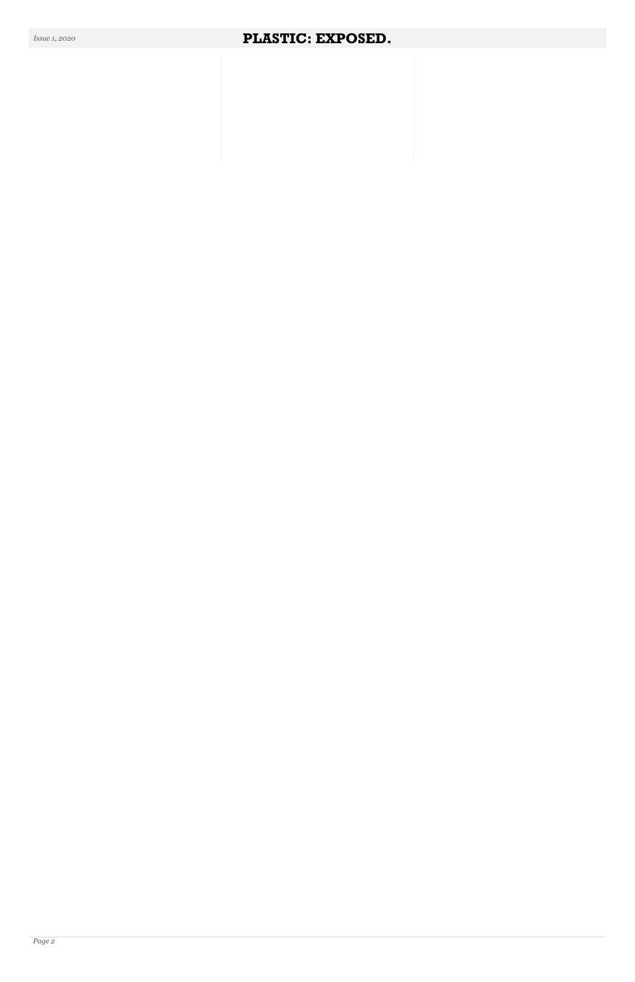## Issue 1, 2020 **PLASTIC: EXPOSED.**